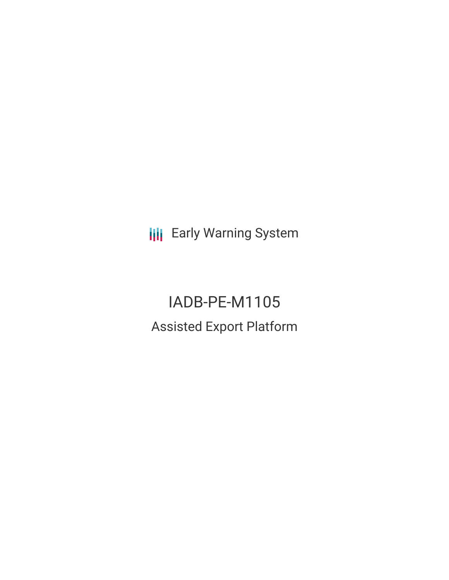**III** Early Warning System

IADB-PE-M1105 Assisted Export Platform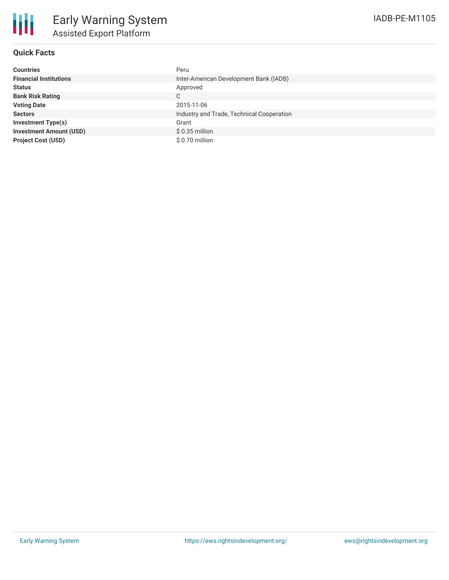

# **Quick Facts**

| <b>Countries</b>               | Peru                                      |
|--------------------------------|-------------------------------------------|
| <b>Financial Institutions</b>  | Inter-American Development Bank (IADB)    |
| <b>Status</b>                  | Approved                                  |
| <b>Bank Risk Rating</b>        | С                                         |
| <b>Voting Date</b>             | 2015-11-06                                |
| <b>Sectors</b>                 | Industry and Trade, Technical Cooperation |
| Investment Type(s)             | Grant                                     |
| <b>Investment Amount (USD)</b> | $$0.35$ million                           |
| <b>Project Cost (USD)</b>      | \$ 0.70 million                           |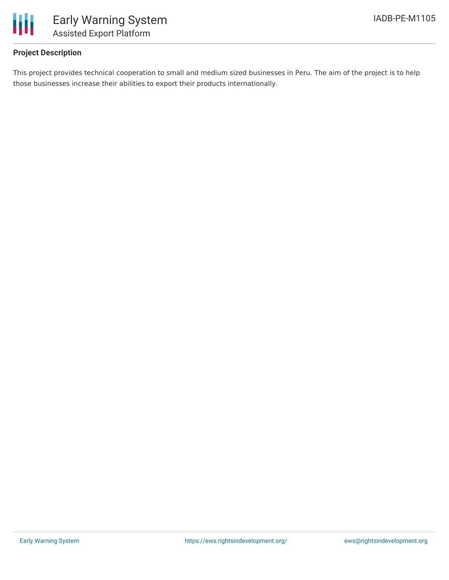

# **Project Description**

This project provides technical cooperation to small and medium sized businesses in Peru. The aim of the project is to help those businesses increase their abilities to export their products internationally.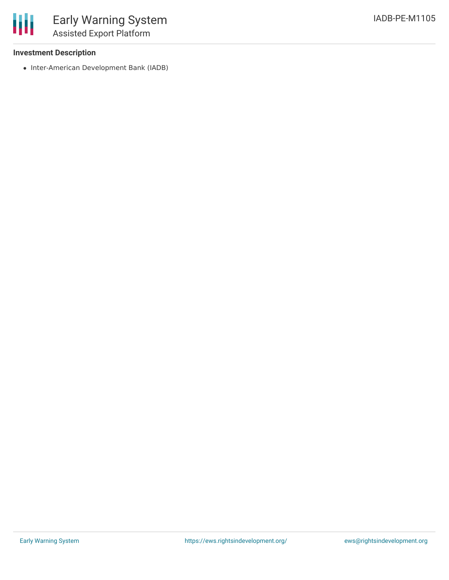## **Investment Description**

• Inter-American Development Bank (IADB)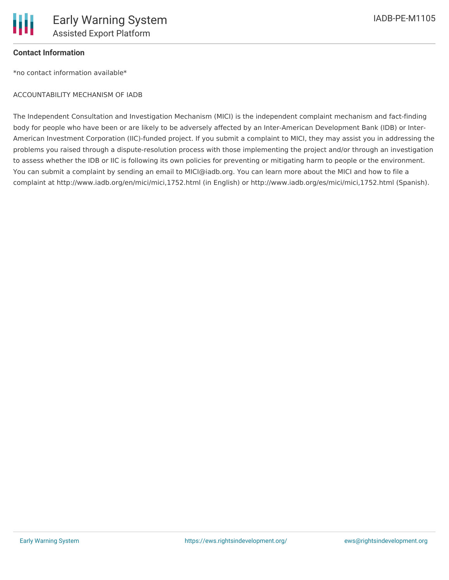

## **Contact Information**

\*no contact information available\*

#### ACCOUNTABILITY MECHANISM OF IADB

The Independent Consultation and Investigation Mechanism (MICI) is the independent complaint mechanism and fact-finding body for people who have been or are likely to be adversely affected by an Inter-American Development Bank (IDB) or Inter-American Investment Corporation (IIC)-funded project. If you submit a complaint to MICI, they may assist you in addressing the problems you raised through a dispute-resolution process with those implementing the project and/or through an investigation to assess whether the IDB or IIC is following its own policies for preventing or mitigating harm to people or the environment. You can submit a complaint by sending an email to MICI@iadb.org. You can learn more about the MICI and how to file a complaint at http://www.iadb.org/en/mici/mici,1752.html (in English) or http://www.iadb.org/es/mici/mici,1752.html (Spanish).